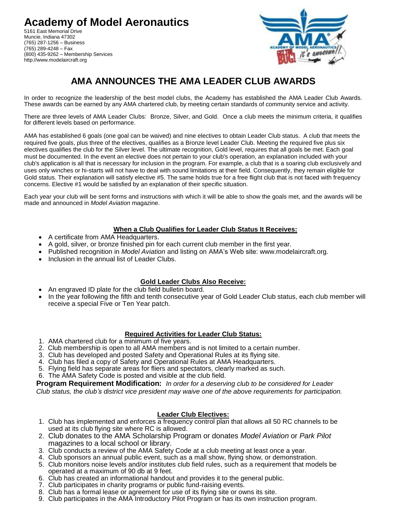**Academy of Model Aeronautics** 5161 East Memorial Drive Muncie, Indiana 47302 (765) 287-1256 – Business (765) 289-4248 – Fax (800) 435-9262 – Membership Services http://www.modelaircraft.org



# **AMA ANNOUNCES THE AMA LEADER CLUB AWARDS**

In order to recognize the leadership of the best model clubs, the Academy has established the AMA Leader Club Awards. These awards can be earned by any AMA chartered club, by meeting certain standards of community service and activity.

There are three levels of AMA Leader Clubs: Bronze, Silver, and Gold. Once a club meets the minimum criteria, it qualifies for different levels based on performance.

AMA has established 6 goals (one goal can be waived) and nine electives to obtain Leader Club status. A club that meets the required five goals, plus three of the electives, qualifies as a Bronze level Leader Club. Meeting the required five plus six electives qualifies the club for the Silver level. The ultimate recognition, Gold level, requires that all goals be met. Each goal must be documented. In the event an elective does not pertain to your club's operation, an explanation included with your club's application is all that is necessary for inclusion in the program. For example, a club that is a soaring club exclusively and uses only winches or hi-starts will not have to deal with sound limitations at their field. Consequently, they remain eligible for Gold status. Their explanation will satisfy elective #5. The same holds true for a free flight club that is not faced with frequency concerns. Elective #1 would be satisfied by an explanation of their specific situation.

Each year your club will be sent forms and instructions with which it will be able to show the goals met, and the awards will be made and announced in *Model Aviation* magazine.

#### **When a Club Qualifies for Leader Club Status It Receives:**

- A certificate from AMA Headquarters.
- A gold, silver, or bronze finished pin for each current club member in the first year.
- Published recognition in *Model Aviation* and listing on AMA's Web site: www.modelaircraft.org.
- Inclusion in the annual list of Leader Clubs.

### **Gold Leader Clubs Also Receive:**

- An engraved ID plate for the club field bulletin board.
- In the year following the fifth and tenth consecutive year of Gold Leader Club status, each club member will receive a special Five or Ten Year patch.

#### **Required Activities for Leader Club Status:**

- 1. AMA chartered club for a minimum of five years.
- 2. Club membership is open to all AMA members and is not limited to a certain number.
- 3. Club has developed and posted Safety and Operational Rules at its flying site.
- 4. Club has filed a copy of Safety and Operational Rules at AMA Headquarters.
- 5. Flying field has separate areas for fliers and spectators, clearly marked as such.
- 6. The AMA Safety Code is posted and visible at the club field.

**Program Requirement Modification:** *In order for a deserving club to be considered for Leader* 

*Club status, the club's district vice president may waive one of the above requirements for participation.*

#### **Leader Club Electives:**

- 1. Club has implemented and enforces a frequency control plan that allows all 50 RC channels to be used at its club flying site where RC is allowed.
- 2. Club donates to the AMA Scholarship Program or donates *Model Aviation* or *Park Pilot*  magazines to a local school or library.
- 3. Club conducts a review of the AMA Safety Code at a club meeting at least once a year.
- 4. Club sponsors an annual public event, such as a mall show, flying show, or demonstration.
- 5. Club monitors noise levels and/or institutes club field rules, such as a requirement that models be operated at a maximum of 90 db at 9 feet.
- 6. Club has created an informational handout and provides it to the general public.
- 7. Club participates in charity programs or public fund-raising events.
- 8. Club has a formal lease or agreement for use of its flying site or owns its site.
- 9. Club participates in the AMA Introductory Pilot Program or has its own instruction program.